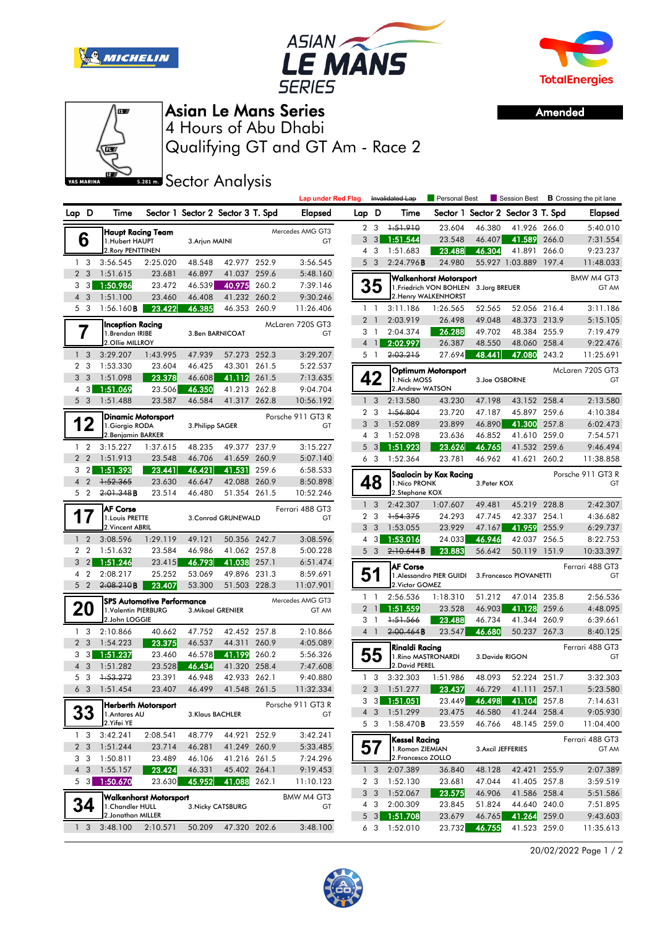





Amended



## Asian Le Mans Series

Qualifying GT and GT Am - Race 2 4 Hours of Abu Dhabi

**SR281 m.** Sector Analysis

|       |                              |                                            |                                   |                  |                                   |          | <b>Lap under Red Flag</b>                |                |                     | Invalidated Lap                        | Personal Best                          |                    |                                   |       | Session Best <b>B</b> Crossing the pit lane |
|-------|------------------------------|--------------------------------------------|-----------------------------------|------------------|-----------------------------------|----------|------------------------------------------|----------------|---------------------|----------------------------------------|----------------------------------------|--------------------|-----------------------------------|-------|---------------------------------------------|
| Lap D |                              | Time                                       |                                   |                  | Sector 1 Sector 2 Sector 3 T. Spd |          | Elapsed                                  | Lap D          |                     | Time                                   |                                        |                    | Sector 1 Sector 2 Sector 3 T. Spd |       | <b>Elapsed</b>                              |
|       |                              |                                            | Haupt Racing Team                 |                  |                                   |          | Mercedes AMG GT3                         |                | 2 <sub>3</sub>      | 1:51.910                               | 23.604                                 | 46.380             | 41.926 266.0                      |       | 5:40.010                                    |
|       | 6                            | 1.Hubert HAUPT                             |                                   | 3. Arjun MAINI   |                                   |          | GT                                       |                | $3 \quad 3$         | 1:51.544                               | 23.548                                 | 46.407             | 41.589 266.0                      |       | 7:31.554                                    |
|       |                              | 2. Rory PENTTINEN                          |                                   |                  |                                   |          |                                          | 4              | 3                   | 1:51.683                               | 23.488                                 | 46.304             | 41.891                            | 266.0 | 9:23.237                                    |
|       | 1 <sub>3</sub>               | 3:56.545                                   | 2:25.020                          | 48.548           | 42.977 252.9                      |          | 3:56.545                                 |                | 5 <sub>3</sub>      | 2:24.796B                              | 24.980                                 |                    | 55.927 1:03.889 197.4             |       | 11:48.033                                   |
|       | 2 <sub>3</sub>               | 1:51.615                                   | 23.681                            | 46.897           | 41.037 259.6                      |          | 5:48.160                                 |                |                     |                                        | Walkenhorst Motorsport                 |                    |                                   |       | BMW M4 GT3                                  |
|       | 3 3                          | 1:50.986                                   | 23.472                            | 46.539           | 40.975 260.2                      |          | 7:39.146                                 |                | 35                  |                                        | 1. Friedrich VON BOHLEN 3. Jorg BREUER |                    |                                   |       | GT AM                                       |
|       | $4 \overline{3}$<br>5 3      | 1:51.100                                   | 23.460<br>23.422                  | 46.408<br>46.385 | 41.232 260.2<br>46.353 260.9      |          | 9:30.246                                 |                | $1\quad$            | 3:11.186                               | 2. Henry WALKENHORST                   | 52.565             | 52.056 216.4                      |       | 3:11.186                                    |
|       |                              | 1:56.160 <b>B</b>                          |                                   |                  |                                   |          | 11:26.406                                |                | 2 <sub>1</sub>      | 2:03.919                               | 1:26.565<br>26.498                     | 49.048             | 48.373 213.9                      |       | 5:15.105                                    |
|       |                              | <b>Inception Racing</b><br>1.Brendan IRIBE |                                   |                  | 3. Ben BARNICOAT                  |          | McLaren 720S GT3<br>GT                   |                | 3 <sub>1</sub>      | 2:04.374                               | 26.288                                 | 49.702             | 48.384 255.9                      |       | 7:19.479                                    |
|       |                              | 2.Ollie MILLROY                            |                                   |                  |                                   |          |                                          | $\overline{4}$ | $\mathbf{1}$        | 2:02.997                               | 26.387                                 | 48.550             | 48.060 258.4                      |       | 9:22.476                                    |
|       | 1 <sub>3</sub>               | 3:29.207                                   | 1:43.995                          | 47.939           | 57.273 252.3                      |          | 3:29.207                                 |                | 5 <sub>1</sub>      | 2:03.215                               | 27.694                                 | 48.441             | 47.080                            | 243.2 | 11:25.691                                   |
|       | 2 <sub>3</sub>               | 1:53.330                                   | 23.604                            | 46.425           | 43.301 261.5                      |          | 5:22.537                                 |                |                     |                                        |                                        |                    |                                   |       | McLaren 720S GT3                            |
| 3     | $\overline{3}$               | 23.378<br>1:51.098<br>46.608               |                                   | 41.112 261.5     |                                   | 7:13.635 | Optimum Motorsport<br>42<br>1. Nick MOSS |                |                     |                                        | 3.Joe OSBORNE                          |                    | GT                                |       |                                             |
|       | 4 3                          | 1:51.069                                   | 23.506                            | 46.350           | 41.213 262.8                      |          | 9:04.704                                 |                |                     | 2.Andrew WATSON                        |                                        |                    |                                   |       |                                             |
|       | 5 <sub>3</sub>               | 1:51.488                                   | 23.587                            | 46.584           | 41.317 262.8                      |          | 10:56.192                                |                | 1 <sup>3</sup>      | 2:13.580                               | 43.230                                 | 47.198             | 43.152 258.4                      |       | 2:13.580                                    |
|       |                              |                                            | Dinamic Motorsport                |                  |                                   |          | Porsche 911 GT3 R                        |                | 2 <sub>3</sub>      | 1:56.804                               | 23.720                                 | 47.187             | 45.897 259.6                      |       | 4:10.384                                    |
|       | 12                           | 1.Giorgio RODA                             |                                   | 3. Philipp SAGER |                                   |          | GT                                       | 3              | $\mathbf{3}$        | 1:52.089                               | 23.899                                 | 46.890             | 41.300                            | 257.8 | 6:02.473                                    |
|       |                              | 2. Benjamin BARKER                         |                                   |                  |                                   |          |                                          | 5              | 4 3                 | 1:52.098                               | 23.636                                 | 46.852             | 41.610 259.0                      |       | 7:54.571                                    |
|       | $1\quad 2$<br>2 <sub>2</sub> | 3:15.227<br>1:51.913                       | 1:37.615<br>23.548                | 48.235<br>46.706 | 49.377 237.9<br>41.659 260.9      |          | 3:15.227<br>5:07.140                     |                | 3<br>6 <sub>3</sub> | 1:51.923<br>1:52.364                   | 23.626<br>23.781                       | 46.765<br>46.962   | 41.532 259.6<br>41.621            | 260.2 | 9:46.494<br>11:38.858                       |
| 3     | $\overline{2}$               | 1:51.393                                   | 23.441                            | 46.421           | 41.531 259.6                      |          | 6:58.533                                 |                |                     |                                        |                                        |                    |                                   |       |                                             |
|       | 4 <sup>2</sup>               | 1:52.365                                   | 23.630                            | 46.647           | 42.088 260.9                      |          | 8:50.898                                 |                | 48                  | 1. Nico PRONK                          | Saalocin by Kox Racing                 | 3. Peter KOX       |                                   |       | Porsche 911 GT3 R<br>GT                     |
|       | 5 <sub>2</sub>               | 2:01.348B                                  | 23.514                            | 46.480           | 51.354 261.5                      |          | 10:52.246                                |                |                     | 2.Stephane KOX                         |                                        |                    |                                   |       |                                             |
|       |                              | <b>AF Corse</b>                            |                                   |                  |                                   |          | Ferrari 488 GT3                          |                | 1 <sub>3</sub>      | 2:42.307                               | 1:07.607                               | 49.481             | 45.219 228.8                      |       | 2:42.307                                    |
| 1     | $\prime$                     | 1. Louis PRETTE                            |                                   |                  | 3. Conrad GRUNEWALD               |          | GT                                       |                | 2 <sub>3</sub>      | 1:54.375                               | 24.293                                 | 47.745             | 42.337 254.1                      |       | 4:36.682                                    |
|       |                              | 2. Vincent ABRIL                           |                                   |                  |                                   |          |                                          |                | 3 <sup>3</sup>      | 1:53.055                               | 23.929                                 | 47.167             | 41.959 255.9                      |       | 6:29.737                                    |
|       | $1\quad 2$                   | 3:08.596                                   | 1:29.119                          | 49.121           | 50.356 242.7                      |          | 3:08.596                                 | 4              | 3                   | 1:53.016                               | 24.033                                 | 46.946             | 42.037 256.5                      |       | 8:22.753                                    |
|       | 2 <sub>2</sub>               | 1:51.632                                   | 23.584                            | 46.986           | 41.062 257.8                      |          | 5:00.228                                 |                | 5 <sub>3</sub>      | 2:10.644B                              | 23.883                                 | 56.642             | 50.119 151.9                      |       | 10:33.397                                   |
| 3     | $\overline{2}$               | 1:51.246                                   | 23.415                            | 46.793           | 41.038                            | 257.1    | 6:51.474                                 |                |                     | <b>AF Corse</b>                        |                                        |                    |                                   |       | Ferrari 488 GT3                             |
|       | 4 2                          | 2:08.217                                   | 25.252                            | 53.069           | 49.896 231.3                      |          | 8:59.691                                 |                | 51                  |                                        | 1. Alessandro PIER GUIDI               |                    | 3. Francesco PIOVANETTI           |       | GT                                          |
|       | 5 <sub>2</sub>               | 2:08.210B                                  | 23.407                            | 53.300           | 51.503 228.3                      |          | 11:07.901                                |                | $1\quad$            | 2. Victor GOMEZ<br>2:56.536            | 1:18.310                               | 51.212             | 47.014 235.8                      |       | 2:56.536                                    |
|       |                              |                                            | <b>SPS Automotive Performance</b> |                  |                                   |          | Mercedes AMG GT3                         |                | 2 <sub>1</sub>      | 1:51.559                               | 23.528                                 | 46.903             | 41.128                            | 259.6 | 4:48.095                                    |
|       | 20                           | 1. Valentin PIERBURG<br>2.John LOGGIE      |                                   |                  | 3. Mikael GRENIER                 |          | GT AM                                    |                | 3 <sub>1</sub>      | $+51.566$                              | 23.488                                 | 46.734             | 41.344 260.9                      |       | 6:39.661                                    |
|       | 13                           | 2:10.866                                   | 40.662                            | 47.752           | 42.452 257.8                      |          | 2:10.866                                 |                | 4 <sup>1</sup>      | 2:00.464B                              | 23.547                                 | 46.680             | 50.237 267.3                      |       | 8:40.125                                    |
|       | 2 <sub>3</sub>               | 1:54.223                                   | 23.375                            | 46.537           | 44.311 260.9                      |          | 4:05.089                                 |                |                     | Rinaldi Racing                         |                                        |                    |                                   |       | Ferrari 488 GT3                             |
|       | 3 <sub>3</sub>               | 1:51.237                                   | 23.460                            | 46.578           | <u>4</u> 1.199                    | 260.2    | 5:56.326                                 |                | 55                  |                                        | 1. Rino MASTRONARDI                    | 3.Davide RIGON     |                                   |       | GT                                          |
|       | 4 3                          | 1:51.282                                   | 23.528                            | 46.434           | 41.320 258.4                      |          | 7:47.608                                 |                |                     | 2. David PEREL                         |                                        |                    |                                   |       |                                             |
|       | 5 3                          | 1:53.272                                   | 23.391                            | 46.948           | 42.933 262.1                      |          | 9:40.880                                 |                |                     | $1 \quad 3 \quad 3:32.303$             | 1:51.986                               | 48.093             | 52.224 251.7                      |       | 3:32.303                                    |
|       |                              | 6 3 1:51.454                               | 23.407                            | 46.499           | 41.548 261.5                      |          | 11:32.334                                |                |                     | 2 3 1:51.277                           | $\boxed{23.437}$                       | 46.729             | 41.111 257.1                      |       | 5:23.580                                    |
|       |                              |                                            | Herberth Motorsport               |                  |                                   |          | Porsche 911 GT3 R                        |                |                     | $3 \quad 3 \quad 1:51.051$             | 23.449                                 | 46.498             | 41.104 257.8                      |       | 7:14.631                                    |
|       | 33                           | 1. Antares AU<br>2. Yifei YE               |                                   |                  | 3.Klaus BACHLER                   |          | GT                                       |                |                     | 4 3 1:51.299                           | 23.475                                 | 46.580             | 41.244 258.4                      |       | 9:05.930                                    |
|       | 1 <sub>3</sub>               | 3:42.241                                   | 2:08.541                          | 48.779           | 44.921 252.9                      |          |                                          |                |                     | 5 3 1:58.470B                          | 23.559                                 | 46.766             | 48.145 259.0                      |       | 11:04.400                                   |
|       | 2 <sub>3</sub>               | 1:51.244                                   | 23.714                            | 46.281           | 41.249 260.9                      |          | 3:42.241<br>5:33.485                     |                | 57                  | <b>Kessel Racing</b>                   |                                        |                    |                                   |       | Ferrari 488 GT3                             |
|       | 3 3                          | 1:50.811                                   | 23.489                            | 46.106           | 41.216 261.5                      |          | 7:24.296                                 |                |                     | 1. Roman ZIEMIAN<br>2. Francesco ZOLLO |                                        | 3. Axcil JEFFERIES |                                   |       | GT AM                                       |
|       | $4\quad3$                    | 1:55.157                                   | 23.424                            | 46.331           | 45.402 264.1                      |          | 9:19.453                                 |                | 1 <sup>3</sup>      | 2:07.389                               | 36.840                                 | 48.128             | 42.421 255.9                      |       | 2:07.389                                    |
|       |                              | 5 3 1:50.670                               | 23.630                            | 45.952           | 41.088 262.1                      |          | 11:10.123                                |                | 2 <sub>3</sub>      | 1:52.130                               | 23.681                                 | 47.044             | 41.405 257.8                      |       | 3:59.519                                    |
|       |                              |                                            | Walkenhorst Motorsport            |                  |                                   |          | BMW M4 GT3                               |                | 3 <sup>3</sup>      | 1:52.067                               | 23.575                                 | 46.906             | 41.586 258.4                      |       | 5:51.586                                    |
|       | 34                           | 1. Chandler HULL                           |                                   |                  | 3. Nicky CATSBURG                 |          | GT                                       |                |                     | 4 3 2:00.309                           | 23.845                                 | 51.824             | 44.640 240.0                      |       | 7:51.895                                    |
|       |                              | 2. Jonathan MILLER                         |                                   |                  |                                   |          |                                          |                | $5 \quad 3$         | 1:51.708                               | 23.679                                 | 46.765             | 41.264 259.0                      |       | 9:43.603                                    |
|       | 1 <sub>3</sub>               | 3:48.100                                   | 2:10.571                          | 50.209           | 47.320 202.6                      |          | 3:48.100                                 |                |                     | 6 3 1:52.010                           | 23.732                                 | 46.755             | 41.523 259.0                      |       | 11:35.613                                   |
|       |                              |                                            |                                   |                  |                                   |          |                                          |                |                     |                                        |                                        |                    |                                   |       |                                             |

20/02/2022 Page 1 / 2